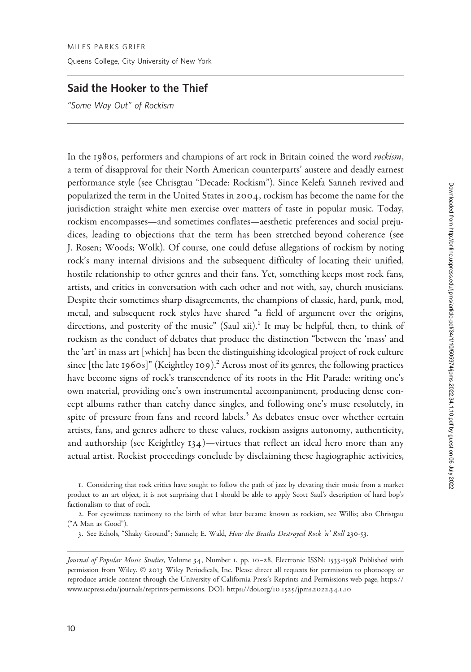# Said the Hooker to the Thief

"Some Way Out" of Rockism

In the 1980s, performers and champions of art rock in Britain coined the word rockism, a term of disapproval for their North American counterparts' austere and deadly earnest performance style (see Chrisgtau "Decade: Rockism"). Since Kelefa Sanneh revived and popularized the term in the United States in 2004, rockism has become the name for the jurisdiction straight white men exercise over matters of taste in popular music. Today, rockism encompasses—and sometimes conflates—aesthetic preferences and social prejudices, leading to objections that the term has been stretched beyond coherence (see J. Rosen; Woods; Wolk). Of course, one could defuse allegations of rockism by noting rock's many internal divisions and the subsequent difficulty of locating their unified, hostile relationship to other genres and their fans. Yet, something keeps most rock fans, artists, and critics in conversation with each other and not with, say, church musicians. Despite their sometimes sharp disagreements, the champions of classic, hard, punk, mod, metal, and subsequent rock styles have shared "a field of argument over the origins, directions, and posterity of the music" (Saul xii).<sup>1</sup> It may be helpful, then, to think of rockism as the conduct of debates that produce the distinction "between the 'mass' and the 'art' in mass art [which] has been the distinguishing ideological project of rock culture since [the late 1960s]" (Keightley 109).<sup>2</sup> Across most of its genres, the following practices have become signs of rock's transcendence of its roots in the Hit Parade: writing one's own material, providing one's own instrumental accompaniment, producing dense concept albums rather than catchy dance singles, and following one's muse resolutely, in spite of pressure from fans and record labels.<sup>3</sup> As debates ensue over whether certain artists, fans, and genres adhere to these values, rockism assigns autonomy, authenticity, and authorship (see Keightley 134)—virtues that reflect an ideal hero more than any actual artist. Rockist proceedings conclude by disclaiming these hagiographic activities,

<sup>1</sup>. Considering that rock critics have sought to follow the path of jazz by elevating their music from a market product to an art object, it is not surprising that I should be able to apply Scott Saul's description of hard bop's factionalism to that of rock.

<sup>2</sup>. For eyewitness testimony to the birth of what later became known as rockism, see Willis; also Christgau ("A Man as Good").

<sup>3.</sup> See Echols, "Shaky Ground"; Sanneh; E. Wald, How the Beatles Destroyed Rock 'n' Roll 230-53.

Journal of Popular Music Studies, Volume 34, Number 1, pp. 10-28, Electronic ISSN: 1533-1598 Published with permission from Wiley. © 2013 Wiley Periodicals, Inc. Please direct all requests for permission to photocopy or reproduce article content through the University of California Press's Reprints and Permissions web page, [https://](https://www.ucpress.edu/journals/reprints-permissions) [www.ucpress.edu/journals/reprints-permissions.](https://www.ucpress.edu/journals/reprints-permissions) [DOI: https://doi.org/](https://doi.org/10.1525/jpms.2022.34.1.10)10.1525/jpms.2022.34.1.10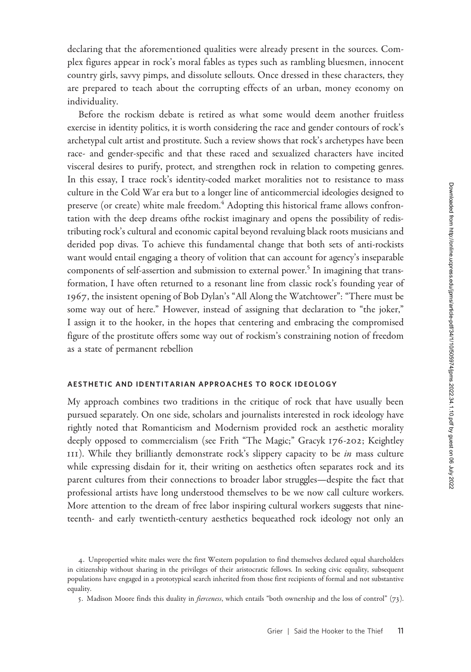declaring that the aforementioned qualities were already present in the sources. Complex figures appear in rock's moral fables as types such as rambling bluesmen, innocent country girls, savvy pimps, and dissolute sellouts. Once dressed in these characters, they are prepared to teach about the corrupting effects of an urban, money economy on individuality.

Before the rockism debate is retired as what some would deem another fruitless exercise in identity politics, it is worth considering the race and gender contours of rock's archetypal cult artist and prostitute. Such a review shows that rock's archetypes have been race- and gender-specific and that these raced and sexualized characters have incited visceral desires to purify, protect, and strengthen rock in relation to competing genres. In this essay, I trace rock's identity-coded market moralities not to resistance to mass culture in the Cold War era but to a longer line of anticommercial ideologies designed to preserve (or create) white male freedom.<sup>4</sup> Adopting this historical frame allows confrontation with the deep dreams ofthe rockist imaginary and opens the possibility of redistributing rock's cultural and economic capital beyond revaluing black roots musicians and derided pop divas. To achieve this fundamental change that both sets of anti-rockists want would entail engaging a theory of volition that can account for agency's inseparable components of self-assertion and submission to external power.<sup>5</sup> In imagining that transformation, I have often returned to a resonant line from classic rock's founding year of 1967, the insistent opening of Bob Dylan's "All Along the Watchtower": "There must be some way out of here." However, instead of assigning that declaration to "the joker," I assign it to the hooker, in the hopes that centering and embracing the compromised figure of the prostitute offers some way out of rockism's constraining notion of freedom as a state of permanent rebellion

## AESTHETIC AND IDENTITARIAN APPROACHES TO ROCK IDEOLOGY

My approach combines two traditions in the critique of rock that have usually been pursued separately. On one side, scholars and journalists interested in rock ideology have rightly noted that Romanticism and Modernism provided rock an aesthetic morality deeply opposed to commercialism (see Frith "The Magic;" Gracyk 176-202; Keightley 111). While they brilliantly demonstrate rock's slippery capacity to be in mass culture while expressing disdain for it, their writing on aesthetics often separates rock and its parent cultures from their connections to broader labor struggles—despite the fact that professional artists have long understood themselves to be we now call culture workers. More attention to the dream of free labor inspiring cultural workers suggests that nineteenth- and early twentieth-century aesthetics bequeathed rock ideology not only an

<sup>4</sup>. Unpropertied white males were the first Western population to find themselves declared equal shareholders in citizenship without sharing in the privileges of their aristocratic fellows. In seeking civic equality, subsequent populations have engaged in a prototypical search inherited from those first recipients of formal and not substantive equality.

<sup>5.</sup> Madison Moore finds this duality in *fierceness*, which entails "both ownership and the loss of control" (73).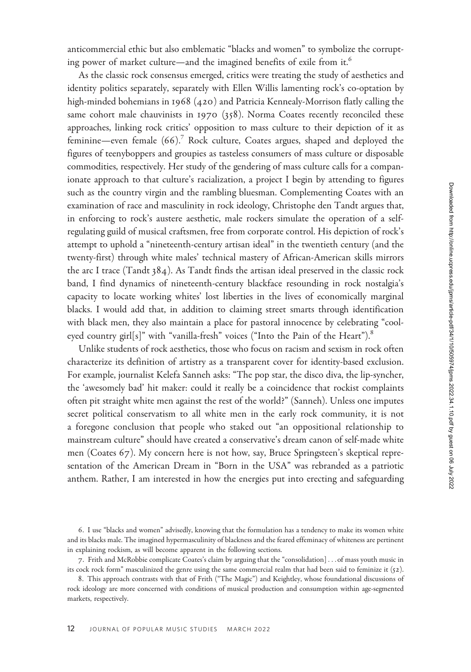anticommercial ethic but also emblematic "blacks and women" to symbolize the corrupting power of market culture—and the imagined benefits of exile from it.<sup>6</sup>

As the classic rock consensus emerged, critics were treating the study of aesthetics and identity politics separately, separately with Ellen Willis lamenting rock's co-optation by high-minded bohemians in 1968 (420) and Patricia Kennealy-Morrison flatly calling the same cohort male chauvinists in 1970 (358). Norma Coates recently reconciled these approaches, linking rock critics' opposition to mass culture to their depiction of it as feminine—even female  $(66)^7$  Rock culture, Coates argues, shaped and deployed the figures of teenyboppers and groupies as tasteless consumers of mass culture or disposable commodities, respectively. Her study of the gendering of mass culture calls for a companionate approach to that culture's racialization, a project I begin by attending to figures such as the country virgin and the rambling bluesman. Complementing Coates with an examination of race and masculinity in rock ideology, Christophe den Tandt argues that, in enforcing to rock's austere aesthetic, male rockers simulate the operation of a selfregulating guild of musical craftsmen, free from corporate control. His depiction of rock's attempt to uphold a "nineteenth-century artisan ideal" in the twentieth century (and the twenty-first) through white males' technical mastery of African-American skills mirrors the arc I trace (Tandt  $384$ ). As Tandt finds the artisan ideal preserved in the classic rock band, I find dynamics of nineteenth-century blackface resounding in rock nostalgia's capacity to locate working whites' lost liberties in the lives of economically marginal blacks. I would add that, in addition to claiming street smarts through identification with black men, they also maintain a place for pastoral innocence by celebrating "cooleyed country girl[s]" with "vanilla-fresh" voices ("Into the Pain of the Heart").<sup>8</sup>

Unlike students of rock aesthetics, those who focus on racism and sexism in rock often characterize its definition of artistry as a transparent cover for identity-based exclusion. For example, journalist Kelefa Sanneh asks: "The pop star, the disco diva, the lip-syncher, the 'awesomely bad' hit maker: could it really be a coincidence that rockist complaints often pit straight white men against the rest of the world?" (Sanneh). Unless one imputes secret political conservatism to all white men in the early rock community, it is not a foregone conclusion that people who staked out "an oppositional relationship to mainstream culture" should have created a conservative's dream canon of self-made white men (Coates 67). My concern here is not how, say, Bruce Springsteen's skeptical representation of the American Dream in "Born in the USA" was rebranded as a patriotic anthem. Rather, I am interested in how the energies put into erecting and safeguarding

<sup>6</sup>. I use "blacks and women" advisedly, knowing that the formulation has a tendency to make its women white and its blacks male. The imagined hypermasculinity of blackness and the feared effeminacy of whiteness are pertinent in explaining rockism, as will become apparent in the following sections.

<sup>7</sup>. Frith and McRobbie complicate Coates's claim by arguing that the "consolidation] ...of mass youth music in its cock rock form" masculinized the genre using the same commercial realm that had been said to feminize it (52).

<sup>8</sup>. This approach contrasts with that of Frith ("The Magic") and Keightley, whose foundational discussions of rock ideology are more concerned with conditions of musical production and consumption within age-segmented markets, respectively.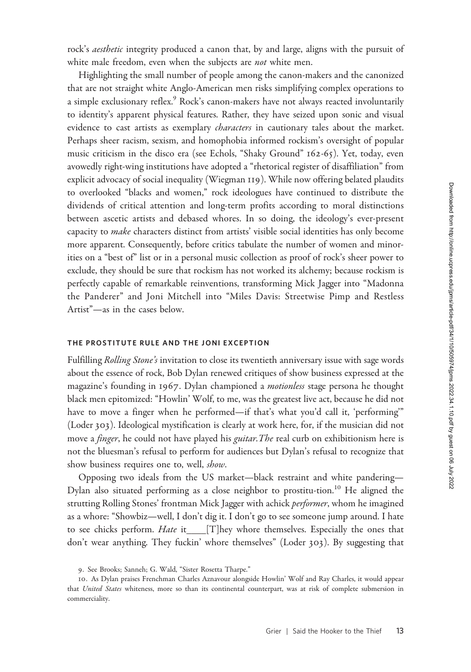rock's *aesthetic* integrity produced a canon that, by and large, aligns with the pursuit of white male freedom, even when the subjects are *not* white men.

Highlighting the small number of people among the canon-makers and the canonized that are not straight white Anglo-American men risks simplifying complex operations to a simple exclusionary reflex.<sup>9</sup> Rock's canon-makers have not always reacted involuntarily to identity's apparent physical features. Rather, they have seized upon sonic and visual evidence to cast artists as exemplary *characters* in cautionary tales about the market. Perhaps sheer racism, sexism, and homophobia informed rockism's oversight of popular music criticism in the disco era (see Echols, "Shaky Ground" 162-65). Yet, today, even avowedly right-wing institutions have adopted a "rhetorical register of disaffiliation" from explicit advocacy of social inequality (Wiegman 119). While now offering belated plaudits to overlooked "blacks and women," rock ideologues have continued to distribute the dividends of critical attention and long-term profits according to moral distinctions between ascetic artists and debased whores. In so doing, the ideology's ever-present capacity to *make* characters distinct from artists' visible social identities has only become more apparent. Consequently, before critics tabulate the number of women and minorities on a "best of" list or in a personal music collection as proof of rock's sheer power to exclude, they should be sure that rockism has not worked its alchemy; because rockism is perfectly capable of remarkable reinventions, transforming Mick Jagger into "Madonna the Panderer" and Joni Mitchell into "Miles Davis: Streetwise Pimp and Restless Artist"—as in the cases below.

### THE PROSTITUTE RULE AND THE JONI EXCEPTION

Fulfilling Rolling Stone's invitation to close its twentieth anniversary issue with sage words about the essence of rock, Bob Dylan renewed critiques of show business expressed at the magazine's founding in 1967. Dylan championed a motionless stage persona he thought black men epitomized: "Howlin' Wolf, to me, was the greatest live act, because he did not have to move a finger when he performed—if that's what you'd call it, 'performing'" (Loder 303). Ideological mystification is clearly at work here, for, if the musician did not move a *finger*, he could not have played his *guitar. The* real curb on exhibitionism here is not the bluesman's refusal to perform for audiences but Dylan's refusal to recognize that show business requires one to, well, show.

Opposing two ideals from the US market—black restraint and white pandering— Dylan also situated performing as a close neighbor to prostitu-tion.<sup>10</sup> He aligned the strutting Rolling Stones' frontman Mick Jagger with achick performer, whom he imagined as a whore: "Showbiz—well, I don't dig it. I don't go to see someone jump around. I hate to see chicks perform. *Hate* it  $\Box$  [T]hey whore themselves. Especially the ones that don't wear anything. They fuckin' whore themselves" (Loder 303). By suggesting that

<sup>9</sup>. See Brooks; Sanneh; G. Wald, "Sister Rosetta Tharpe."

<sup>10</sup>. As Dylan praises Frenchman Charles Aznavour alongside Howlin' Wolf and Ray Charles, it would appear that United States whiteness, more so than its continental counterpart, was at risk of complete submersion in commerciality.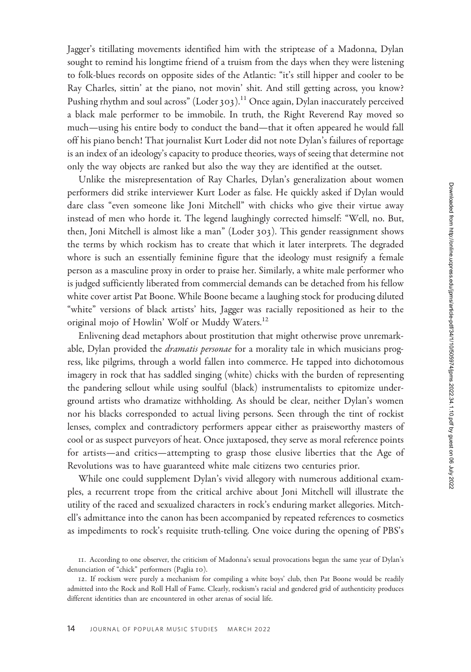Jagger's titillating movements identified him with the striptease of a Madonna, Dylan sought to remind his longtime friend of a truism from the days when they were listening to folk-blues records on opposite sides of the Atlantic: "it's still hipper and cooler to be Ray Charles, sittin' at the piano, not movin' shit. And still getting across, you know? Pushing rhythm and soul across" (Loder 303).<sup>11</sup> Once again, Dylan inaccurately perceived a black male performer to be immobile. In truth, the Right Reverend Ray moved so much—using his entire body to conduct the band—that it often appeared he would fall off his piano bench! That journalist Kurt Loder did not note Dylan's failures of reportage is an index of an ideology's capacity to produce theories, ways of seeing that determine not only the way objects are ranked but also the way they are identified at the outset.

Unlike the misrepresentation of Ray Charles, Dylan's generalization about women performers did strike interviewer Kurt Loder as false. He quickly asked if Dylan would dare class "even someone like Joni Mitchell" with chicks who give their virtue away instead of men who horde it. The legend laughingly corrected himself: "Well, no. But, then, Joni Mitchell is almost like a man" (Loder 303). This gender reassignment shows the terms by which rockism has to create that which it later interprets. The degraded whore is such an essentially feminine figure that the ideology must resignify a female person as a masculine proxy in order to praise her. Similarly, a white male performer who is judged sufficiently liberated from commercial demands can be detached from his fellow white cover artist Pat Boone. While Boone became a laughing stock for producing diluted "white" versions of black artists' hits, Jagger was racially repositioned as heir to the original mojo of Howlin' Wolf or Muddy Waters.<sup>12</sup>

Enlivening dead metaphors about prostitution that might otherwise prove unremarkable, Dylan provided the *dramatis personae* for a morality tale in which musicians progress, like pilgrims, through a world fallen into commerce. He tapped into dichotomous imagery in rock that has saddled singing (white) chicks with the burden of representing the pandering sellout while using soulful (black) instrumentalists to epitomize underground artists who dramatize withholding. As should be clear, neither Dylan's women nor his blacks corresponded to actual living persons. Seen through the tint of rockist lenses, complex and contradictory performers appear either as praiseworthy masters of cool or as suspect purveyors of heat. Once juxtaposed, they serve as moral reference points for artists—and critics—attempting to grasp those elusive liberties that the Age of Revolutions was to have guaranteed white male citizens two centuries prior.

While one could supplement Dylan's vivid allegory with numerous additional examples, a recurrent trope from the critical archive about Joni Mitchell will illustrate the utility of the raced and sexualized characters in rock's enduring market allegories. Mitchell's admittance into the canon has been accompanied by repeated references to cosmetics as impediments to rock's requisite truth-telling. One voice during the opening of PBS's

<sup>11</sup>. According to one observer, the criticism of Madonna's sexual provocations began the same year of Dylan's denunciation of "chick" performers (Paglia 10).

<sup>12</sup>. If rockism were purely a mechanism for compiling a white boys' club, then Pat Boone would be readily admitted into the Rock and Roll Hall of Fame. Clearly, rockism's racial and gendered grid of authenticity produces different identities than are encountered in other arenas of social life.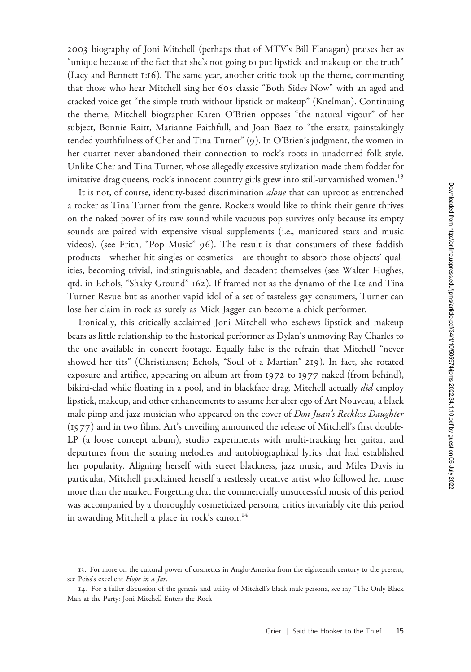2003 biography of Joni Mitchell (perhaps that of MTV's Bill Flanagan) praises her as "unique because of the fact that she's not going to put lipstick and makeup on the truth" (Lacy and Bennett 1:16). The same year, another critic took up the theme, commenting that those who hear Mitchell sing her 60s classic "Both Sides Now" with an aged and cracked voice get "the simple truth without lipstick or makeup" (Knelman). Continuing the theme, Mitchell biographer Karen O'Brien opposes "the natural vigour" of her subject, Bonnie Raitt, Marianne Faithfull, and Joan Baez to "the ersatz, painstakingly tended youthfulness of Cher and Tina Turner" (9). In O'Brien's judgment, the women in her quartet never abandoned their connection to rock's roots in unadorned folk style. Unlike Cher and Tina Turner, whose allegedly excessive stylization made them fodder for imitative drag queens, rock's innocent country girls grew into still-unvarnished women.<sup>13</sup>

It is not, of course, identity-based discrimination *alone* that can uproot as entrenched a rocker as Tina Turner from the genre. Rockers would like to think their genre thrives on the naked power of its raw sound while vacuous pop survives only because its empty sounds are paired with expensive visual supplements (i.e., manicured stars and music videos). (see Frith, "Pop Music" 96). The result is that consumers of these faddish products—whether hit singles or cosmetics—are thought to absorb those objects' qualities, becoming trivial, indistinguishable, and decadent themselves (see Walter Hughes, qtd. in Echols, "Shaky Ground" 162). If framed not as the dynamo of the Ike and Tina Turner Revue but as another vapid idol of a set of tasteless gay consumers, Turner can lose her claim in rock as surely as Mick Jagger can become a chick performer.

Ironically, this critically acclaimed Joni Mitchell who eschews lipstick and makeup bears as little relationship to the historical performer as Dylan's unmoving Ray Charles to the one available in concert footage. Equally false is the refrain that Mitchell "never showed her tits" (Christiansen; Echols, "Soul of a Martian" 219). In fact, she rotated exposure and artifice, appearing on album art from 1972 to 1977 naked (from behind), bikini-clad while floating in a pool, and in blackface drag. Mitchell actually did employ lipstick, makeup, and other enhancements to assume her alter ego of Art Nouveau, a black male pimp and jazz musician who appeared on the cover of *Don Juan's Reckless Daughter* (1977) and in two films. Art's unveiling announced the release of Mitchell's first double-LP (a loose concept album), studio experiments with multi-tracking her guitar, and departures from the soaring melodies and autobiographical lyrics that had established her popularity. Aligning herself with street blackness, jazz music, and Miles Davis in particular, Mitchell proclaimed herself a restlessly creative artist who followed her muse more than the market. Forgetting that the commercially unsuccessful music of this period was accompanied by a thoroughly cosmeticized persona, critics invariably cite this period in awarding Mitchell a place in rock's canon.<sup>14</sup>

<sup>13</sup>. For more on the cultural power of cosmetics in Anglo-America from the eighteenth century to the present, see Peiss's excellent Hope in a Jar.

<sup>14</sup>. For a fuller discussion of the genesis and utility of Mitchell's black male persona, see my "The Only Black Man at the Party: Joni Mitchell Enters the Rock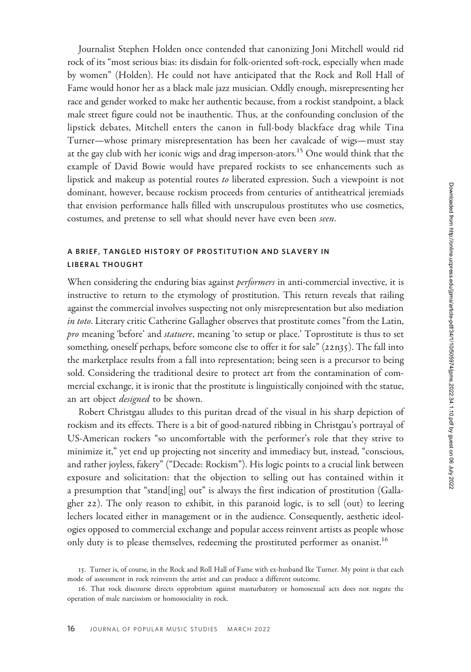Journalist Stephen Holden once contended that canonizing Joni Mitchell would rid rock of its "most serious bias: its disdain for folk-oriented soft-rock, especially when made by women" (Holden). He could not have anticipated that the Rock and Roll Hall of Fame would honor her as a black male jazz musician. Oddly enough, misrepresenting her race and gender worked to make her authentic because, from a rockist standpoint, a black male street figure could not be inauthentic. Thus, at the confounding conclusion of the lipstick debates, Mitchell enters the canon in full-body blackface drag while Tina Turner—whose primary misrepresentation has been her cavalcade of wigs—must stay at the gay club with her iconic wigs and drag imperson-ators.<sup>15</sup> One would think that the example of David Bowie would have prepared rockists to see enhancements such as lipstick and makeup as potential routes to liberated expression. Such a viewpoint is not dominant, however, because rockism proceeds from centuries of antitheatrical jeremiads that envision performance halls filled with unscrupulous prostitutes who use cosmetics, costumes, and pretense to sell what should never have even been seen.

# A BRIEF, TANGLED HISTORY OF PROSTITUTION AND SLAVERY IN LIBERAL THOUGHT

When considering the enduring bias against *performers* in anti-commercial invective, it is instructive to return to the etymology of prostitution. This return reveals that railing against the commercial involves suspecting not only misrepresentation but also mediation in toto. Literary critic Catherine Gallagher observes that prostitute comes "from the Latin, pro meaning 'before' and *statuere*, meaning 'to setup or place.' Toprostitute is thus to set something, oneself perhaps, before someone else to offer it for sale"  $(22n35)$ . The fall into the marketplace results from a fall into representation; being seen is a precursor to being sold. Considering the traditional desire to protect art from the contamination of commercial exchange, it is ironic that the prostitute is linguistically conjoined with the statue, an art object *designed* to be shown.

Robert Christgau alludes to this puritan dread of the visual in his sharp depiction of rockism and its effects. There is a bit of good-natured ribbing in Christgau's portrayal of US-American rockers "so uncomfortable with the performer's role that they strive to minimize it," yet end up projecting not sincerity and immediacy but, instead, "conscious, and rather joyless, fakery" ("Decade: Rockism"). His logic points to a crucial link between exposure and solicitation: that the objection to selling out has contained within it a presumption that "stand[ing] out" is always the first indication of prostitution (Gallagher 22). The only reason to exhibit, in this paranoid logic, is to sell (out) to leering lechers located either in management or in the audience. Consequently, aesthetic ideologies opposed to commercial exchange and popular access reinvent artists as people whose only duty is to please themselves, redeeming the prostituted performer as onanist.<sup>16</sup>

<sup>15</sup>. Turner is, of course, in the Rock and Roll Hall of Fame with ex-husband Ike Turner. My point is that each mode of assessment in rock reinvents the artist and can produce a different outcome.

<sup>16</sup>. That rock discourse directs opprobrium against masturbatory or homosexual acts does not negate the operation of male narcissism or homosociality in rock.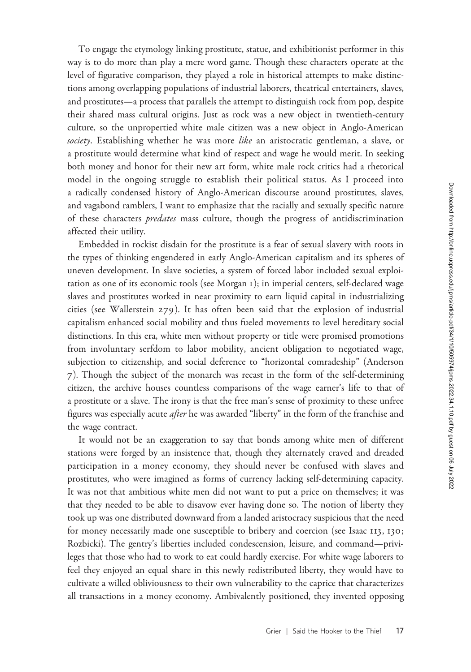To engage the etymology linking prostitute, statue, and exhibitionist performer in this way is to do more than play a mere word game. Though these characters operate at the level of figurative comparison, they played a role in historical attempts to make distinctions among overlapping populations of industrial laborers, theatrical entertainers, slaves, and prostitutes—a process that parallels the attempt to distinguish rock from pop, despite their shared mass cultural origins. Just as rock was a new object in twentieth-century culture, so the unpropertied white male citizen was a new object in Anglo-American society. Establishing whether he was more like an aristocratic gentleman, a slave, or a prostitute would determine what kind of respect and wage he would merit. In seeking both money and honor for their new art form, white male rock critics had a rhetorical model in the ongoing struggle to establish their political status. As I proceed into a radically condensed history of Anglo-American discourse around prostitutes, slaves, and vagabond ramblers, I want to emphasize that the racially and sexually specific nature of these characters *predates* mass culture, though the progress of antidiscrimination affected their utility.

Embedded in rockist disdain for the prostitute is a fear of sexual slavery with roots in the types of thinking engendered in early Anglo-American capitalism and its spheres of uneven development. In slave societies, a system of forced labor included sexual exploitation as one of its economic tools (see Morgan 1); in imperial centers, self-declared wage slaves and prostitutes worked in near proximity to earn liquid capital in industrializing cities (see Wallerstein 279). It has often been said that the explosion of industrial capitalism enhanced social mobility and thus fueled movements to level hereditary social distinctions. In this era, white men without property or title were promised promotions from involuntary serfdom to labor mobility, ancient obligation to negotiated wage, subjection to citizenship, and social deference to "horizontal comradeship" (Anderson 7). Though the subject of the monarch was recast in the form of the self-determining citizen, the archive houses countless comparisons of the wage earner's life to that of a prostitute or a slave. The irony is that the free man's sense of proximity to these unfree figures was especially acute after he was awarded "liberty" in the form of the franchise and the wage contract.

It would not be an exaggeration to say that bonds among white men of different stations were forged by an insistence that, though they alternately craved and dreaded participation in a money economy, they should never be confused with slaves and prostitutes, who were imagined as forms of currency lacking self-determining capacity. It was not that ambitious white men did not want to put a price on themselves; it was that they needed to be able to disavow ever having done so. The notion of liberty they took up was one distributed downward from a landed aristocracy suspicious that the need for money necessarily made one susceptible to bribery and coercion (see Isaac 113, 130; Rozbicki). The gentry's liberties included condescension, leisure, and command—privileges that those who had to work to eat could hardly exercise. For white wage laborers to feel they enjoyed an equal share in this newly redistributed liberty, they would have to cultivate a willed obliviousness to their own vulnerability to the caprice that characterizes all transactions in a money economy. Ambivalently positioned, they invented opposing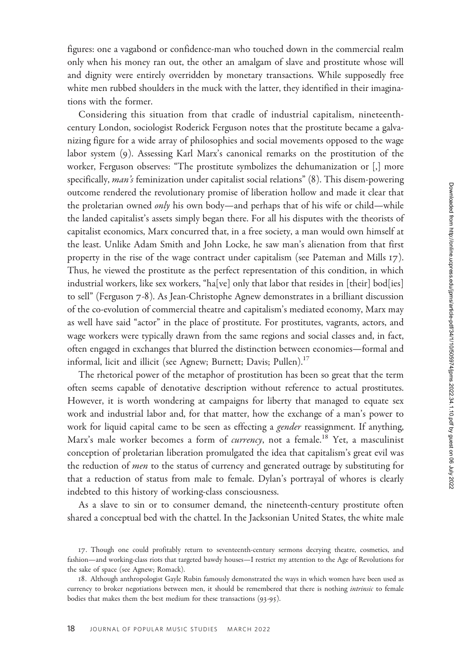figures: one a vagabond or confidence-man who touched down in the commercial realm only when his money ran out, the other an amalgam of slave and prostitute whose will and dignity were entirely overridden by monetary transactions. While supposedly free white men rubbed shoulders in the muck with the latter, they identified in their imaginations with the former.

Considering this situation from that cradle of industrial capitalism, nineteenthcentury London, sociologist Roderick Ferguson notes that the prostitute became a galvanizing figure for a wide array of philosophies and social movements opposed to the wage labor system (9). Assessing Karl Marx's canonical remarks on the prostitution of the worker, Ferguson observes: "The prostitute symbolizes the dehumanization or [,] more specifically, man's feminization under capitalist social relations" (8). This disem-powering outcome rendered the revolutionary promise of liberation hollow and made it clear that the proletarian owned *only* his own body—and perhaps that of his wife or child—while the landed capitalist's assets simply began there. For all his disputes with the theorists of capitalist economics, Marx concurred that, in a free society, a man would own himself at the least. Unlike Adam Smith and John Locke, he saw man's alienation from that first property in the rise of the wage contract under capitalism (see Pateman and Mills 17). Thus, he viewed the prostitute as the perfect representation of this condition, in which industrial workers, like sex workers, "ha[ve] only that labor that resides in [their] bod[ies] to sell" (Ferguson 7-8). As Jean-Christophe Agnew demonstrates in a brilliant discussion of the co-evolution of commercial theatre and capitalism's mediated economy, Marx may as well have said "actor" in the place of prostitute. For prostitutes, vagrants, actors, and wage workers were typically drawn from the same regions and social classes and, in fact, often engaged in exchanges that blurred the distinction between economies—formal and informal, licit and illicit (see Agnew; Burnett; Davis; Pullen).<sup>17</sup>

The rhetorical power of the metaphor of prostitution has been so great that the term often seems capable of denotative description without reference to actual prostitutes. However, it is worth wondering at campaigns for liberty that managed to equate sex work and industrial labor and, for that matter, how the exchange of a man's power to work for liquid capital came to be seen as effecting a *gender* reassignment. If anything, Marx's male worker becomes a form of *currency*, not a female.<sup>18</sup> Yet, a masculinist conception of proletarian liberation promulgated the idea that capitalism's great evil was the reduction of *men* to the status of currency and generated outrage by substituting for that a reduction of status from male to female. Dylan's portrayal of whores is clearly indebted to this history of working-class consciousness.

As a slave to sin or to consumer demand, the nineteenth-century prostitute often shared a conceptual bed with the chattel. In the Jacksonian United States, the white male

<sup>17</sup>. Though one could profitably return to seventeenth-century sermons decrying theatre, cosmetics, and fashion—and working-class riots that targeted bawdy houses—I restrict my attention to the Age of Revolutions for the sake of space (see Agnew; Romack).

<sup>18</sup>. Although anthropologist Gayle Rubin famously demonstrated the ways in which women have been used as currency to broker negotiations between men, it should be remembered that there is nothing intrinsic to female bodies that makes them the best medium for these transactions (93-95).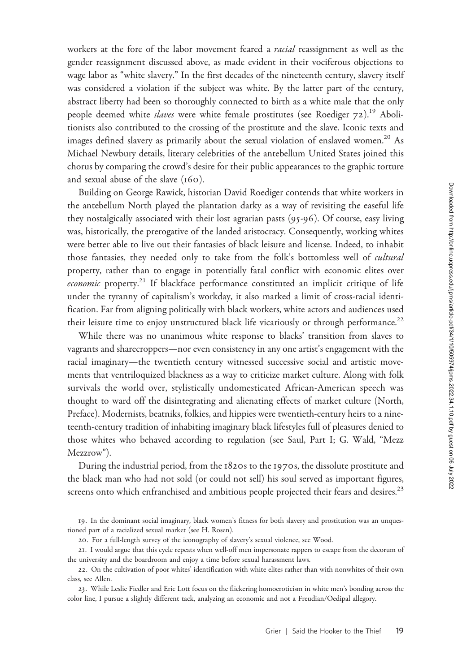workers at the fore of the labor movement feared a *racial* reassignment as well as the gender reassignment discussed above, as made evident in their vociferous objections to wage labor as "white slavery." In the first decades of the nineteenth century, slavery itself was considered a violation if the subject was white. By the latter part of the century, abstract liberty had been so thoroughly connected to birth as a white male that the only people deemed white slaves were white female prostitutes (see Roediger 72).<sup>19</sup> Abolitionists also contributed to the crossing of the prostitute and the slave. Iconic texts and images defined slavery as primarily about the sexual violation of enslaved women.<sup>20</sup> As Michael Newbury details, literary celebrities of the antebellum United States joined this chorus by comparing the crowd's desire for their public appearances to the graphic torture and sexual abuse of the slave (160).

Building on George Rawick, historian David Roediger contends that white workers in the antebellum North played the plantation darky as a way of revisiting the easeful life they nostalgically associated with their lost agrarian pasts (95-96). Of course, easy living was, historically, the prerogative of the landed aristocracy. Consequently, working whites were better able to live out their fantasies of black leisure and license. Indeed, to inhabit those fantasies, they needed only to take from the folk's bottomless well of *cultural* property, rather than to engage in potentially fatal conflict with economic elites over economic property.<sup>21</sup> If blackface performance constituted an implicit critique of life under the tyranny of capitalism's workday, it also marked a limit of cross-racial identification. Far from aligning politically with black workers, white actors and audiences used their leisure time to enjoy unstructured black life vicariously or through performance.<sup>22</sup>

While there was no unanimous white response to blacks' transition from slaves to vagrants and sharecroppers—nor even consistency in any one artist's engagement with the racial imaginary—the twentieth century witnessed successive social and artistic movements that ventriloquized blackness as a way to criticize market culture. Along with folk survivals the world over, stylistically undomesticated African-American speech was thought to ward off the disintegrating and alienating effects of market culture (North, Preface). Modernists, beatniks, folkies, and hippies were twentieth-century heirs to a nineteenth-century tradition of inhabiting imaginary black lifestyles full of pleasures denied to those whites who behaved according to regulation (see Saul, Part I; G. Wald, "Mezz Mezzrow").

During the industrial period, from the 1820s to the 1970s, the dissolute prostitute and the black man who had not sold (or could not sell) his soul served as important figures, screens onto which enfranchised and ambitious people projected their fears and desires.<sup>23</sup>

<sup>19</sup>. In the dominant social imaginary, black women's fitness for both slavery and prostitution was an unquestioned part of a racialized sexual market (see H. Rosen).

<sup>20</sup>. For a full-length survey of the iconography of slavery's sexual violence, see Wood.

<sup>21</sup>. I would argue that this cycle repeats when well-off men impersonate rappers to escape from the decorum of the university and the boardroom and enjoy a time before sexual harassment laws.

<sup>22</sup>. On the cultivation of poor whites' identification with white elites rather than with nonwhites of their own class, see Allen.

<sup>23</sup>. While Leslie Fiedler and Eric Lott focus on the flickering homoeroticism in white men's bonding across the color line, I pursue a slightly different tack, analyzing an economic and not a Freudian/Oedipal allegory.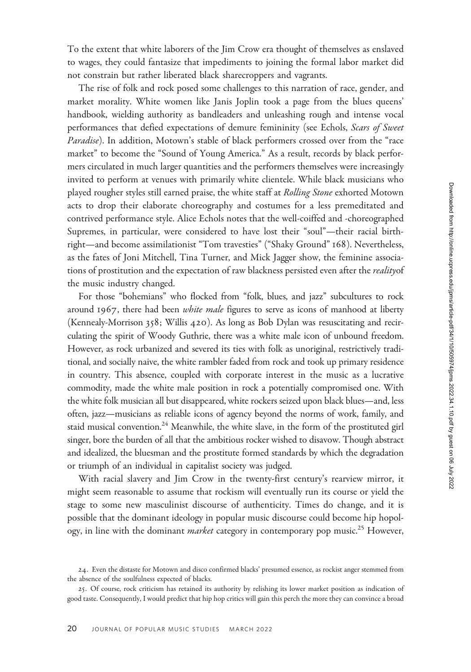To the extent that white laborers of the Jim Crow era thought of themselves as enslaved to wages, they could fantasize that impediments to joining the formal labor market did not constrain but rather liberated black sharecroppers and vagrants.

The rise of folk and rock posed some challenges to this narration of race, gender, and market morality. White women like Janis Joplin took a page from the blues queens' handbook, wielding authority as bandleaders and unleashing rough and intense vocal performances that defied expectations of demure femininity (see Echols, Scars of Sweet Paradise). In addition, Motown's stable of black performers crossed over from the "race market" to become the "Sound of Young America." As a result, records by black performers circulated in much larger quantities and the performers themselves were increasingly invited to perform at venues with primarily white clientele. While black musicians who played rougher styles still earned praise, the white staff at Rolling Stone exhorted Motown acts to drop their elaborate choreography and costumes for a less premeditated and contrived performance style. Alice Echols notes that the well-coiffed and -choreographed Supremes, in particular, were considered to have lost their "soul"—their racial birthright—and become assimilationist "Tom travesties" ("Shaky Ground" 168). Nevertheless, as the fates of Joni Mitchell, Tina Turner, and Mick Jagger show, the feminine associations of prostitution and the expectation of raw blackness persisted even after the *reality* of the music industry changed.

For those "bohemians" who flocked from "folk, blues, and jazz" subcultures to rock around 1967, there had been *white male* figures to serve as icons of manhood at liberty (Kennealy-Morrison 358; Willis 420). As long as Bob Dylan was resuscitating and recirculating the spirit of Woody Guthrie, there was a white male icon of unbound freedom. However, as rock urbanized and severed its ties with folk as unoriginal, restrictively traditional, and socially naive, the white rambler faded from rock and took up primary residence in country. This absence, coupled with corporate interest in the music as a lucrative commodity, made the white male position in rock a potentially compromised one. With the white folk musician all but disappeared, white rockers seized upon black blues—and, less often, jazz—musicians as reliable icons of agency beyond the norms of work, family, and staid musical convention.<sup>24</sup> Meanwhile, the white slave, in the form of the prostituted girl singer, bore the burden of all that the ambitious rocker wished to disavow. Though abstract and idealized, the bluesman and the prostitute formed standards by which the degradation or triumph of an individual in capitalist society was judged.

With racial slavery and Jim Crow in the twenty-first century's rearview mirror, it might seem reasonable to assume that rockism will eventually run its course or yield the stage to some new masculinist discourse of authenticity. Times do change, and it is possible that the dominant ideology in popular music discourse could become hip hopology, in line with the dominant *market* category in contemporary pop music.<sup>25</sup> However,

<sup>24</sup>. Even the distaste for Motown and disco confirmed blacks' presumed essence, as rockist anger stemmed from the absence of the soulfulness expected of blacks.

<sup>25</sup>. Of course, rock criticism has retained its authority by relishing its lower market position as indication of good taste. Consequently, I would predict that hip hop critics will gain this perch the more they can convince a broad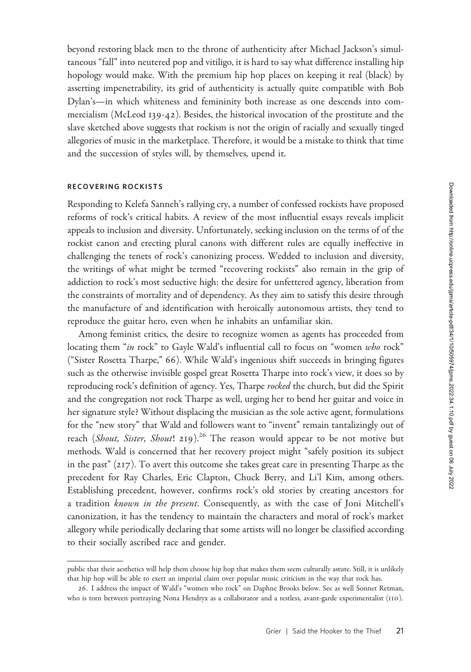beyond restoring black men to the throne of authenticity after Michael Jackson's simultaneous "fall" into neutered pop and vitiligo, it is hard to say what difference installing hip hopology would make. With the premium hip hop places on keeping it real (black) by asserting impenetrability, its grid of authenticity is actually quite compatible with Bob Dylan's—in which whiteness and femininity both increase as one descends into commercialism (McLeod 139-42). Besides, the historical invocation of the prostitute and the slave sketched above suggests that rockism is not the origin of racially and sexually tinged allegories of music in the marketplace. Therefore, it would be a mistake to think that time and the succession of styles will, by themselves, upend it.

#### RECOVERING ROCKISTS

Responding to Kelefa Sanneh's rallying cry, a number of confessed rockists have proposed reforms of rock's critical habits. A review of the most influential essays reveals implicit appeals to inclusion and diversity. Unfortunately, seeking inclusion on the terms of of the rockist canon and erecting plural canons with different rules are equally ineffective in challenging the tenets of rock's canonizing process. Wedded to inclusion and diversity, the writings of what might be termed "recovering rockists" also remain in the grip of addiction to rock's most seductive high: the desire for unfettered agency, liberation from the constraints of mortality and of dependency. As they aim to satisfy this desire through the manufacture of and identification with heroically autonomous artists, they tend to reproduce the guitar hero, even when he inhabits an unfamiliar skin.

Among feminist critics, the desire to recognize women as agents has proceeded from locating them "in rock" to Gayle Wald's influential call to focus on "women who rock" ("Sister Rosetta Tharpe," 66). While Wald's ingenious shift succeeds in bringing figures such as the otherwise invisible gospel great Rosetta Tharpe into rock's view, it does so by reproducing rock's definition of agency. Yes, Tharpe rocked the church, but did the Spirit and the congregation not rock Tharpe as well, urging her to bend her guitar and voice in her signature style? Without displacing the musician as the sole active agent, formulations for the "new story" that Wald and followers want to "invent" remain tantalizingly out of reach (Shout, Sister, Shout! 219).<sup>26</sup> The reason would appear to be not motive but methods. Wald is concerned that her recovery project might "safely position its subject in the past" (217). To avert this outcome she takes great care in presenting Tharpe as the precedent for Ray Charles, Eric Clapton, Chuck Berry, and Li'l Kim, among others. Establishing precedent, however, confirms rock's old stories by creating ancestors for a tradition known in the present. Consequently, as with the case of Joni Mitchell's canonization, it has the tendency to maintain the characters and moral of rock's market allegory while periodically declaring that some artists will no longer be classified according reproducing rock<br>and the congregat<br>her signature style<br>for the "new story<br>reach (*Shout, Sis*<br>methods. Wald is<br>in the past" (217)<br>precedent for Ra<br>Establishing prec<br>a tradition *know*<br>canonization, it h<br>allegory while per<br> to their socially ascribed race and gender.

public that their aesthetics will help them choose hip hop that makes them seem culturally astute. Still, it is unlikely that hip hop will be able to exert an imperial claim over popular music criticism in the way that rock has.

<sup>26</sup>. I address the impact of Wald's "women who rock" on Daphne Brooks below. See as well Sonnet Retman, who is torn between portraying Nona Hendryx as a collaborator and a restless, avant-garde experimentalist (110).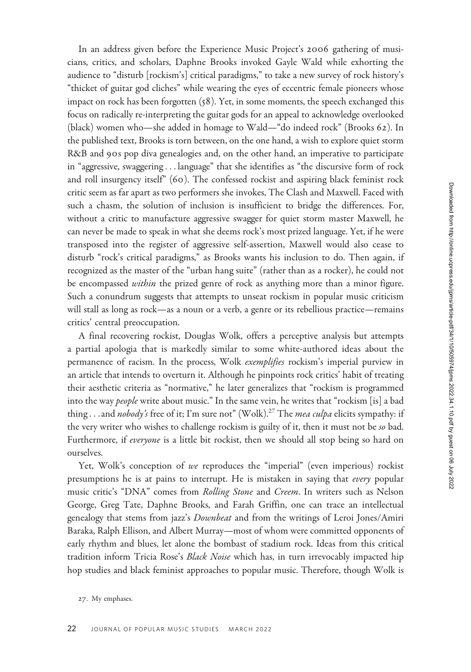In an address given before the Experience Music Project's 2006 gathering of musicians, critics, and scholars, Daphne Brooks invoked Gayle Wald while exhorting the audience to "disturb [rockism's] critical paradigms," to take a new survey of rock history's "thicket of guitar god cliches" while wearing the eyes of eccentric female pioneers whose impact on rock has been forgotten (58). Yet, in some moments, the speech exchanged this focus on radically re-interpreting the guitar gods for an appeal to acknowledge overlooked (black) women who—she added in homage to Wald—"do indeed rock" (Brooks 62). In the published text, Brooks is torn between, on the one hand, a wish to explore quiet storm R&B and 90s pop diva genealogies and, on the other hand, an imperative to participate in "aggressive, swaggering ... language" that she identifies as "the discursive form of rock and roll insurgency itself" (60). The confessed rockist and aspiring black feminist rock critic seem as far apart as two performers she invokes, The Clash and Maxwell. Faced with such a chasm, the solution of inclusion is insufficient to bridge the differences. For, without a critic to manufacture aggressive swagger for quiet storm master Maxwell, he can never be made to speak in what she deems rock's most prized language. Yet, if he were transposed into the register of aggressive self-assertion, Maxwell would also cease to disturb "rock's critical paradigms," as Brooks wants his inclusion to do. Then again, if recognized as the master of the "urban hang suite" (rather than as a rocker), he could not be encompassed *within* the prized genre of rock as anything more than a minor figure. Such a conundrum suggests that attempts to unseat rockism in popular music criticism will stall as long as rock—as a noun or a verb, a genre or its rebellious practice—remains critics' central preoccupation.

A final recovering rockist, Douglas Wolk, offers a perceptive analysis but attempts a partial apologia that is markedly similar to some white-authored ideas about the permanence of racism. In the process, Wolk exemplifies rockism's imperial purview in an article that intends to overturn it. Although he pinpoints rock critics' habit of treating their aesthetic criteria as "normative," he later generalizes that "rockism is programmed into the way *people* write about music." In the same vein, he writes that "rockism [is] a bad thing ...and nobody's free of it; I'm sure not" (Wolk).<sup>27</sup> The *mea culpa* elicits sympathy: if the very writer who wishes to challenge rockism is guilty of it, then it must not be so bad. Furthermore, if everyone is a little bit rockist, then we should all stop being so hard on ourselves.

Yet, Wolk's conception of we reproduces the "imperial" (even imperious) rockist presumptions he is at pains to interrupt. He is mistaken in saying that every popular music critic's "DNA" comes from Rolling Stone and Creem. In writers such as Nelson George, Greg Tate, Daphne Brooks, and Farah Griffin, one can trace an intellectual genealogy that stems from jazz's *Downbeat* and from the writings of Leroi Jones/Amiri Baraka, Ralph Ellison, and Albert Murray—most of whom were committed opponents of early rhythm and blues, let alone the bombast of stadium rock. Ideas from this critical tradition inform Tricia Rose's Black Noise which has, in turn irrevocably impacted hip hop studies and black feminist approaches to popular music. Therefore, though Wolk is

<sup>27</sup>. My emphases.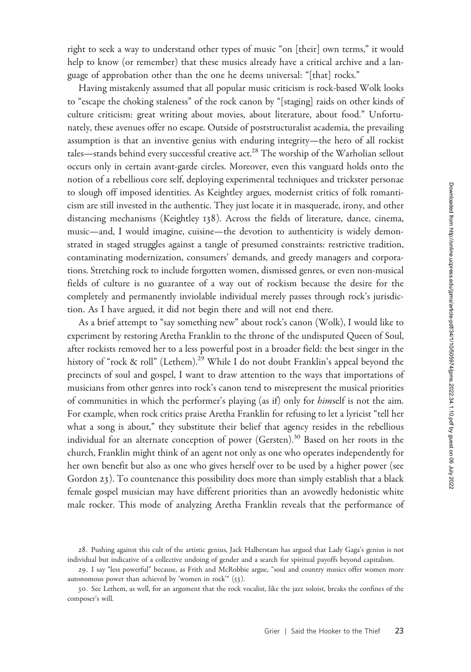right to seek a way to understand other types of music "on [their] own terms," it would help to know (or remember) that these musics already have a critical archive and a language of approbation other than the one he deems universal: "[that] rocks."

Having mistakenly assumed that all popular music criticism is rock-based Wolk looks to "escape the choking staleness" of the rock canon by "[staging] raids on other kinds of culture criticism: great writing about movies, about literature, about food." Unfortunately, these avenues offer no escape. Outside of poststructuralist academia, the prevailing assumption is that an inventive genius with enduring integrity—the hero of all rockist tales—stands behind every successful creative  $act.^{28}$  The worship of the Warholian sellout occurs only in certain avant-garde circles. Moreover, even this vanguard holds onto the notion of a rebellious core self, deploying experimental techniques and trickster personae to slough off imposed identities. As Keightley argues, modernist critics of folk romanticism are still invested in the authentic. They just locate it in masquerade, irony, and other distancing mechanisms (Keightley 138). Across the fields of literature, dance, cinema, music—and, I would imagine, cuisine—the devotion to authenticity is widely demonstrated in staged struggles against a tangle of presumed constraints: restrictive tradition, contaminating modernization, consumers' demands, and greedy managers and corporations. Stretching rock to include forgotten women, dismissed genres, or even non-musical fields of culture is no guarantee of a way out of rockism because the desire for the completely and permanently inviolable individual merely passes through rock's jurisdiction. As I have argued, it did not begin there and will not end there.

As a brief attempt to "say something new" about rock's canon (Wolk), I would like to experiment by restoring Aretha Franklin to the throne of the undisputed Queen of Soul, after rockists removed her to a less powerful post in a broader field: the best singer in the history of "rock & roll" (Lethem).<sup>29</sup> While I do not doubt Franklin's appeal beyond the precincts of soul and gospel, I want to draw attention to the ways that importations of musicians from other genres into rock's canon tend to misrepresent the musical priorities of communities in which the performer's playing (as if) only for *himself* is not the aim. For example, when rock critics praise Aretha Franklin for refusing to let a lyricist "tell her what a song is about," they substitute their belief that agency resides in the rebellious individual for an alternate conception of power (Gersten).<sup>30</sup> Based on her roots in the church, Franklin might think of an agent not only as one who operates independently for her own benefit but also as one who gives herself over to be used by a higher power (see Gordon 23). To countenance this possibility does more than simply establish that a black female gospel musician may have different priorities than an avowedly hedonistic white male rocker. This mode of analyzing Aretha Franklin reveals that the performance of

<sup>28</sup>. Pushing against this cult of the artistic genius, Jack Halberstam has argued that Lady Gaga's genius is not individual but indicative of a collective undoing of gender and a search for spiritual payoffs beyond capitalism.

<sup>29</sup>. I say "less powerful" because, as Frith and McRobbie argue, "soul and country musics offer women more autonomous power than achieved by 'women in rock'" (53).

<sup>30</sup>. See Lethem, as well, for an argument that the rock vocalist, like the jazz soloist, breaks the confines of the composer's will.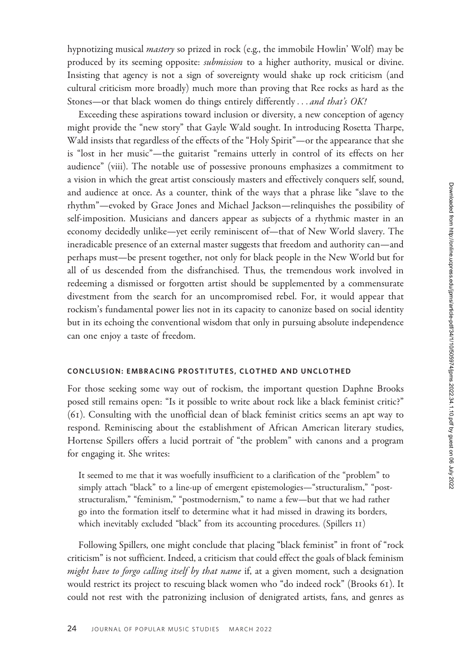hypnotizing musical *mastery* so prized in rock (e.g., the immobile Howlin' Wolf) may be produced by its seeming opposite: *submission* to a higher authority, musical or divine. Insisting that agency is not a sign of sovereignty would shake up rock criticism (and cultural criticism more broadly) much more than proving that Ree rocks as hard as the Stones—or that black women do things entirely differently ... and that's OK!

Exceeding these aspirations toward inclusion or diversity, a new conception of agency might provide the "new story" that Gayle Wald sought. In introducing Rosetta Tharpe, Wald insists that regardless of the effects of the "Holy Spirit"—or the appearance that she is "lost in her music"—the guitarist "remains utterly in control of its effects on her audience" (viii). The notable use of possessive pronouns emphasizes a commitment to a vision in which the great artist consciously masters and effectively conquers self, sound, and audience at once. As a counter, think of the ways that a phrase like "slave to the rhythm"—evoked by Grace Jones and Michael Jackson—relinquishes the possibility of self-imposition. Musicians and dancers appear as subjects of a rhythmic master in an economy decidedly unlike—yet eerily reminiscent of—that of New World slavery. The ineradicable presence of an external master suggests that freedom and authority can—and perhaps must—be present together, not only for black people in the New World but for all of us descended from the disfranchised. Thus, the tremendous work involved in redeeming a dismissed or forgotten artist should be supplemented by a commensurate divestment from the search for an uncompromised rebel. For, it would appear that rockism's fundamental power lies not in its capacity to canonize based on social identity but in its echoing the conventional wisdom that only in pursuing absolute independence can one enjoy a taste of freedom.

### CONCLUSION: EMBRACING PROSTITUTES, CLOTHED AND UNCLOTHED

For those seeking some way out of rockism, the important question Daphne Brooks posed still remains open: "Is it possible to write about rock like a black feminist critic?" (61). Consulting with the unofficial dean of black feminist critics seems an apt way to respond. Reminiscing about the establishment of African American literary studies, Hortense Spillers offers a lucid portrait of "the problem" with canons and a program for engaging it. She writes:

It seemed to me that it was woefully insufficient to a clarification of the "problem" to simply attach "black" to a line-up of emergent epistemologies—"structuralism," "poststructuralism," "feminism," "postmodernism," to name a few—but that we had rather go into the formation itself to determine what it had missed in drawing its borders, which inevitably excluded "black" from its accounting procedures. (Spillers 11)

Following Spillers, one might conclude that placing "black feminist" in front of "rock criticism" is not sufficient. Indeed, a criticism that could effect the goals of black feminism might have to forgo calling itself by that name if, at a given moment, such a designation would restrict its project to rescuing black women who "do indeed rock" (Brooks 61). It could not rest with the patronizing inclusion of denigrated artists, fans, and genres as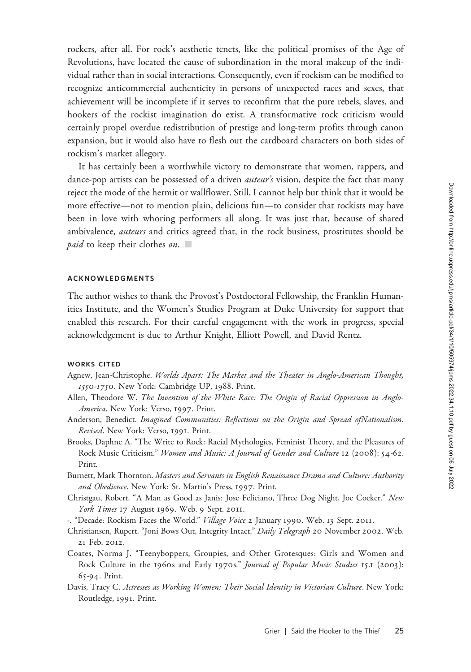rockers, after all. For rock's aesthetic tenets, like the political promises of the Age of Revolutions, have located the cause of subordination in the moral makeup of the individual rather than in social interactions. Consequently, even if rockism can be modified to recognize anticommercial authenticity in persons of unexpected races and sexes, that achievement will be incomplete if it serves to reconfirm that the pure rebels, slaves, and hookers of the rockist imagination do exist. A transformative rock criticism would certainly propel overdue redistribution of prestige and long-term profits through canon expansion, but it would also have to flesh out the cardboard characters on both sides of rockism's market allegory.

It has certainly been a worthwhile victory to demonstrate that women, rappers, and dance-pop artists can be possessed of a driven *auteur's* vision, despite the fact that many reject the mode of the hermit or wallflower. Still, I cannot help but think that it would be more effective—not to mention plain, delicious fun—to consider that rockists may have been in love with whoring performers all along. It was just that, because of shared ambivalence, *auteurs* and critics agreed that, in the rock business, prostitutes should be *paid* to keep their clothes *on*.

### ACKNOWLEDGMENTS

The author wishes to thank the Provost's Postdoctoral Fellowship, the Franklin Humanities Institute, and the Women's Studies Program at Duke University for support that enabled this research. For their careful engagement with the work in progress, special acknowledgement is due to Arthur Knight, Elliott Powell, and David Rentz.

#### WORKS CITED

- Agnew, Jean-Christophe. Worlds Apart: The Market and the Theater in Anglo-American Thought, 1550-1750. New York: Cambridge UP, 1988. Print.
- Allen, Theodore W. The Invention of the White Race: The Origin of Racial Oppression in Anglo-America. New York: Verso, 1997. Print.
- Anderson, Benedict. Imagined Communities: Reflections on the Origin and Spread ofNationalism. Revised. New York: Verso, 1991. Print.
- Brooks, Daphne A. "The Write to Rock: Racial Mythologies, Feminist Theory, and the Pleasures of Rock Music Criticism." Women and Music: A Journal of Gender and Culture 12 (2008): 54-62. Print.
- Burnett, Mark Thornton. Masters and Servants in English Renaissance Drama and Culture: Authority and Obedience. New York: St. Martin's Press, 1997. Print.
- Christgau, Robert. "A Man as Good as Janis: Jose Feliciano, Three Dog Night, Joe Cocker." New York Times 17 August 1969. Web. 9 Sept. 2011.
- -. "Decade: Rockism Faces the World." Village Voice 2 January 1990. Web. 13 Sept. 2011.
- Christiansen, Rupert. "Joni Bows Out, Integrity Intact." Daily Telegraph 20 November 2002. Web. 21 Feb. 2012.
- Coates, Norma J. "Teenyboppers, Groupies, and Other Grotesques: Girls and Women and Rock Culture in the 1960s and Early 1970s." Journal of Popular Music Studies 15.1 (2003): 65-94. Print.
- Davis, Tracy C. Actresses as Working Women: Their Social Identity in Victorian Culture. New York: Routledge, 1991. Print.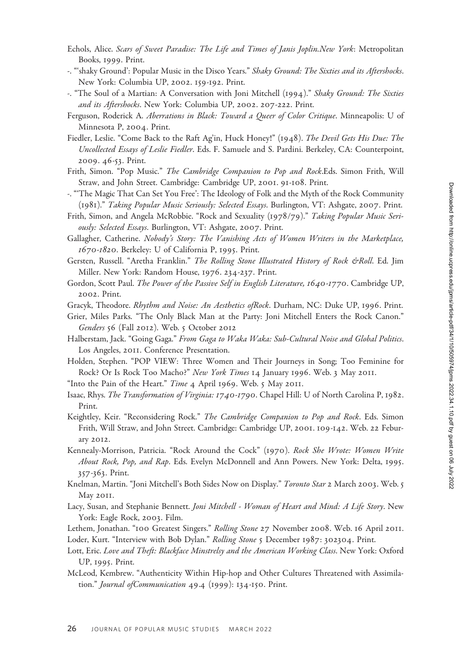- Echols, Alice. Scars of Sweet Paradise: The Life and Times of Janis Joplin.New York: Metropolitan Books, 1999. Print.
- -. "'shaky Ground': Popular Music in the Disco Years." Shaky Ground: The Sixties and its Aftershocks. New York: Columbia UP, 2002. 159-192. Print.
- -. "The Soul of a Martian: A Conversation with Joni Mitchell (1994)." Shaky Ground: The Sixties and its Aftershocks. New York: Columbia UP, 2002. 207-222. Print.
- Ferguson, Roderick A. Aberrations in Black: Toward a Queer of Color Critique. Minneapolis: U of Minnesota P, 2004. Print.
- Fiedler, Leslie. "Come Back to the Raft Ag'in, Huck Honey!" (1948). The Devil Gets His Due: The Uncollected Essays of Leslie Fiedler. Eds. F. Samuele and S. Pardini. Berkeley, CA: Counterpoint, 2009. 46-53. Print.
- Frith, Simon. "Pop Music." The Cambridge Companion to Pop and Rock.Eds. Simon Frith, Will Straw, and John Street. Cambridge: Cambridge UP, 2001. 91-108. Print.
- -. "'The Magic That Can Set You Free': The Ideology of Folk and the Myth of the Rock Community (1981)." Taking Popular Music Seriously: Selected Essays. Burlington, VT: Ashgate, 2007. Print.
- Frith, Simon, and Angela McRobbie. "Rock and Sexuality (1978/79)." Taking Popular Music Seriously: Selected Essays. Burlington, VT: Ashgate, 2007. Print.
- Gallagher, Catherine. Nobody's Story: The Vanishing Acts of Women Writers in the Marketplace, 1670-1820. Berkeley: U of California P, 1995. Print.
- Gersten, Russell. "Aretha Franklin." The Rolling Stone Illustrated History of Rock &Roll. Ed. Jim Miller. New York: Random House, 1976. 234-237. Print.
- Gordon, Scott Paul. The Power of the Passive Self in English Literature, 1640-1770. Cambridge UP, 2002. Print.
- Gracyk, Theodore. Rhythm and Noise: An Aesthetics ofRock. Durham, NC: Duke UP, 1996. Print.
- Grier, Miles Parks. "The Only Black Man at the Party: Joni Mitchell Enters the Rock Canon." Genders 56 (Fall 2012). Web. 5 October 2012
- Halberstam, Jack. "Going Gaga." From Gaga to Waka Waka: Sub-Cultural Noise and Global Politics. Los Angeles, 2011. Conference Presentation.
- Holden, Stephen. "POP VIEW: Three Women and Their Journeys in Song; Too Feminine for Rock? Or Is Rock Too Macho?" New York Times 14 January 1996. Web. 3 May 2011.
- "Into the Pain of the Heart." Time 4 April 1969. Web. 5 May 2011.
- Isaac, Rhys. The Transformation of Virginia: 1740-1790. Chapel Hill: U of North Carolina P, 1982. Print.
- Keightley, Keir. "Reconsidering Rock." The Cambridge Companion to Pop and Rock. Eds. Simon Frith, Will Straw, and John Street. Cambridge: Cambridge UP, 2001. 109-142. Web. 22 Feburary 2012.
- Kennealy-Morrison, Patricia. "Rock Around the Cock" (1970). Rock She Wrote: Women Write About Rock, Pop, and Rap. Eds. Evelyn McDonnell and Ann Powers. New York: Delta, 1995. 357-363. Print.
- Knelman, Martin. "Joni Mitchell's Both Sides Now on Display." Toronto Star 2 March 2003. Web. 5 May 2011.
- Lacy, Susan, and Stephanie Bennett. Joni Mitchell Woman of Heart and Mind: A Life Story. New York: Eagle Rock, 2003. Film.
- Lethem, Jonathan. "100 Greatest Singers." Rolling Stone 27 November 2008. Web. 16 April 2011. Loder, Kurt. "Interview with Bob Dylan." Rolling Stone 5 December 1987: 302304. Print.
- Lott, Eric. Love and Theft: Blackface Minstrelsy and the American Working Class. New York: Oxford UP, 1995. Print.
- McLeod, Kembrew. "Authenticity Within Hip-hop and Other Cultures Threatened with Assimilation." Journal ofCommunication 49.4 (1999): 134-150. Print.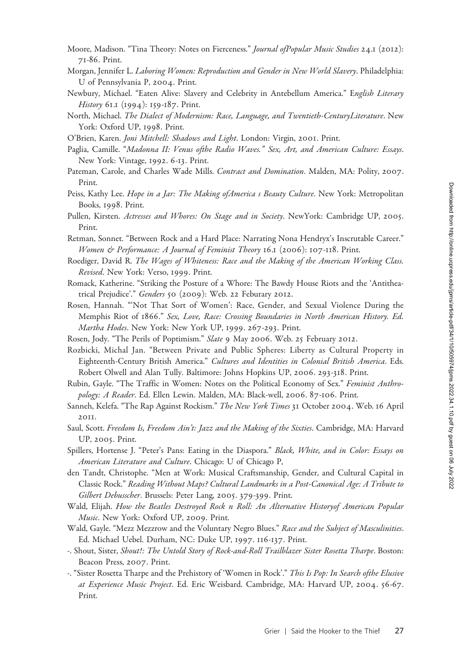- Moore, Madison. "Tina Theory: Notes on Fierceness." Journal ofPopular Music Studies 24.1 (2012): 71-86. Print.
- Morgan, Jennifer L. Laboring Women: Reproduction and Gender in New World Slavery. Philadelphia: U of Pennsylvania P, 2004. Print.
- Newbury, Michael. "Eaten Alive: Slavery and Celebrity in Antebellum America." English Literary History 61.1 (1994): 159-187. Print.
- North, Michael. The Dialect of Modernism: Race, Language, and Twentieth-CenturyLiterature. New York: Oxford UP, 1998. Print.
- O'Brien, Karen. Joni Mitchell: Shadows and Light. London: Virgin, 2001. Print.
- Paglia, Camille. "Madonna II: Venus ofthe Radio Waves." Sex, Art, and American Culture: Essays. New York: Vintage, 1992. 6-13. Print.
- Pateman, Carole, and Charles Wade Mills. Contract and Domination. Malden, MA: Polity, 2007. Print.
- Peiss, Kathy Lee. Hope in a Jar: The Making of America s Beauty Culture. New York: Metropolitan Books, 1998. Print.
- Pullen, Kirsten. Actresses and Whores: On Stage and in Society. NewYork: Cambridge UP, 2005. Print.
- Retman, Sonnet. "Between Rock and a Hard Place: Narrating Nona Hendryx's Inscrutable Career." Women & Performance: A Journal of Feminist Theory 16.1 (2006): 107-118. Print.
- Roediger, David R. The Wages of Whiteness: Race and the Making of the American Working Class. Revised. New York: Verso, 1999. Print.
- Romack, Katherine. "Striking the Posture of a Whore: The Bawdy House Riots and the 'Antitheatrical Prejudice'." Genders 50 (2009): Web. 22 Feburary 2012.
- Rosen, Hannah. "'Not That Sort of Women': Race, Gender, and Sexual Violence During the Memphis Riot of 1866." Sex, Love, Race: Crossing Boundaries in North American History. Ed. Martha Hodes. New York: New York UP, 1999. 267-293. Print.
- Rosen, Jody. "The Perils of Poptimism." Slate 9 May 2006. Web. 25 February 2012.
- Rozbicki, Michal Jan. "Between Private and Public Spheres: Liberty as Cultural Property in Eighteenth-Century British America." Cultures and Identities in Colonial British America. Eds. Robert Olwell and Alan Tully. Baltimore: Johns Hopkins UP, 2006. 293-318. Print.
- Rubin, Gayle. "The Traffic in Women: Notes on the Political Economy of Sex." Feminist Anthropology: A Reader. Ed. Ellen Lewin. Malden, MA: Black-well, 2006. 87-106. Print.
- Sanneh, Kelefa. "The Rap Against Rockism." The New York Times 31 October 2004. Web. 16 April 2011.
- Saul, Scott. Freedom Is, Freedom Ain't: Jazz and the Making of the Sixties. Cambridge, MA: Harvard UP, 2005. Print.
- Spillers, Hortense J. "Peter's Pans: Eating in the Diaspora." Black, White, and in Color: Essays on American Literature and Culture. Chicago: U of Chicago P,
- den Tandt, Christophe. "Men at Work: Musical Craftsmanship, Gender, and Cultural Capital in Classic Rock." Reading Without Maps? Cultural Landmarks in a Post-Canonical Age: A Tribute to Gilbert Debusscher. Brussels: Peter Lang, 2005. 379-399. Print.
- Wald, Elijah. How the Beatles Destroyed Rock n Roll: An Alternative Historyof American Popular Music. New York: Oxford UP, 2009. Print.
- Wald, Gayle. "Mezz Mezzrow and the Voluntary Negro Blues." Race and the Subject of Masculinities. Ed. Michael Uebel. Durham, NC: Duke UP, 1997. 116-137. Print.
- -. Shout, Sister, Shout!: The Untold Story of Rock-and-Roll Trailblazer Sister Rosetta Tharpe. Boston: Beacon Press, 2007. Print.
- -. "Sister Rosetta Tharpe and the Prehistory of 'Women in Rock'." This Is Pop: In Search ofthe Elusive at Experience Music Project. Ed. Eric Weisbard. Cambridge, MA: Harvard UP, 2004. 56-67. Print.